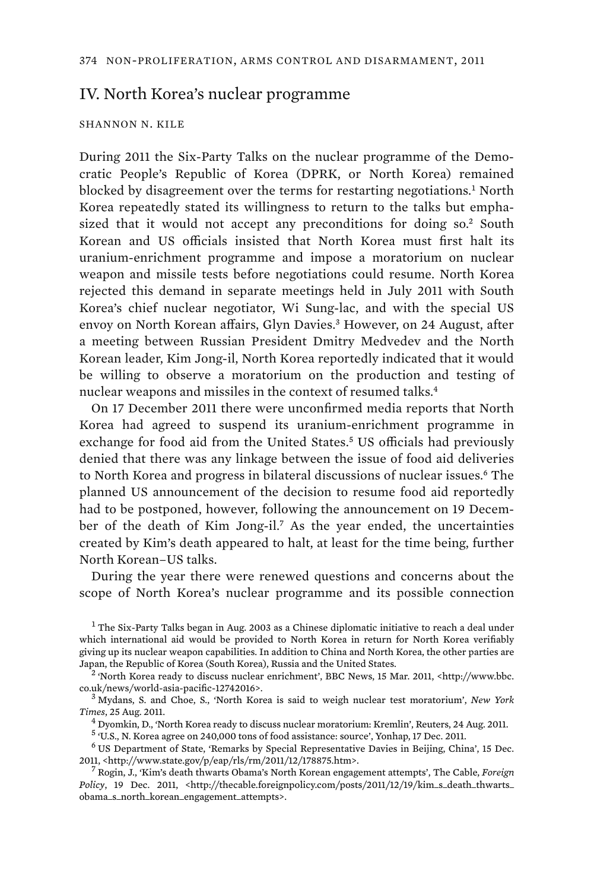## IV. North Korea's nuclear programme

## SHANNON N. KILE

During 2011 the Six-Party Talks on the nuclear programme of the Democratic People's Republic of Korea (DPRK, or North Korea) remained blocked by disagreement over the terms for restarting negotiations.<sup>1</sup> North Korea repeatedly stated its willingness to return to the talks but emphasized that it would not accept any preconditions for doing so.<sup>2</sup> South Korean and US officials insisted that North Korea must first halt its uranium-enrichment programme and impose a moratorium on nuclear weapon and missile tests before negotiations could resume. North Korea rejected this demand in separate meetings held in July 2011 with South Korea's chief nuclear negotiator, Wi Sung-lac, and with the special US envoy on North Korean affairs, Glyn Davies.<sup>3</sup> However, on 24 August, after a meeting between Russian President Dmitry Medvedev and the North Korean leader, Kim Jong-il, North Korea reportedly indicated that it would be willing to observe a moratorium on the production and testing of nuclear weapons and missiles in the context of resumed talks.<sup>4</sup>

On 17 December 2011 there were unconfirmed media reports that North Korea had agreed to suspend its uranium-enrichment programme in exchange for food aid from the United States.<sup>5</sup> US officials had previously denied that there was any linkage between the issue of food aid deliveries to North Korea and progress in bilateral discussions of nuclear issues.<sup>6</sup> The planned US announcement of the decision to resume food aid reportedly had to be postponed, however, following the announcement on 19 December of the death of Kim Jong-il.<sup>7</sup> As the year ended, the uncertainties created by Kim's death appeared to halt, at least for the time being, further North Korean–US talks.

During the year there were renewed questions and concerns about the scope of North Korea's nuclear programme and its possible connection

 $1$  The Six-Party Talks began in Aug. 2003 as a Chinese diplomatic initiative to reach a deal under which international aid would be provided to North Korea in return for North Korea verifiably giving up its nuclear weapon capabilities. In addition to China and North Korea, the other parties are Japan, the Republic of Korea (South Korea), Russia and the United States. <sup>2</sup>

 'North Korea ready to discuss nuclear enrichment', BBC News, 15 Mar. 2011, <http://www.bbc. co.uk/news/world-asia-pacific-12742016>. <sup>3</sup>

 Mydans, S. and Choe, S., 'North Korea is said to weigh nuclear test moratorium', *New York Times*, 25 Aug. 2011. <sup>4</sup>

 $^4$  Dyomkin, D., 'North Korea ready to discuss nuclear moratorium: Kremlin', Reuters, 24 Aug. 2011.

<sup>5</sup> 'U.S., N. Korea agree on 240,000 tons of food assistance: source', Yonhap, 17 Dec. 2011.

6 US Department of State, 'Remarks by Special Representative Davies in Beijing, China', 15 Dec. 2011, <http://www.state.gov/p/eap/rls/rm/2011/12/178875.htm>. <sup>7</sup>

 Rogin, J., 'Kim's death thwarts Obama's North Korean engagement attempts', The Cable, *Foreign Policy*, 19 Dec. 2011, <http://thecable.foreignpolicy.com/posts/2011/12/19/kim\_s\_death\_thwarts\_ obama\_s\_north\_korean\_engagement\_attempts>.